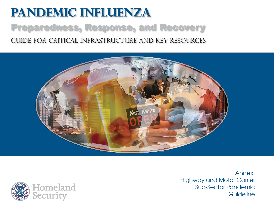# **Pandemic Influenza** Preparedness, Response, and Recovery Guide for critical infrastructure and key resources





Annex:Highway and Motor Carrier Sub-Sector Pandemic**Guideline**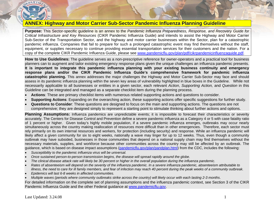

# **ANNEX: Highway and Motor Carrier Sub-Sector Pandemic Influenza Planning Guideline**

**Purpose:** This Sector-specific guideline is an annex to the *Pandemic Influenza Preparedness, Response, and Recovery Guide for Critical Infrastructure and Key Resources* (CIKR Pandemic Influenza Guide) and intends to assist the Highway and Motor Carrier Sub-Sector of the Transportation Sector, and the highway and motor carrier businesses within the Sector, plan for a catastrophic pandemic influenza. Companies that fail to prepare for such a prolonged catastrophic event may find themselves without the staff, equipment, or supplies necessary to continue providing essential transportation services for their customers and the nation. For a copy of the complete CIKR Pandemic Influenza Guide, please see [www.pandemicflu.gov/plan/pdf/cikrpandemicinfluenzaguide.pdf](http://www.pandemicflu.gov/plan/pdf/cikrpandemicinfluenzaguide.pdf).

**How to Use Guidelines:** The guideline serves as a non-prescriptive reference for owner-operators and a practical tool for business planners can to augment and tailor existing emergency response plans given the unique challenges an influenza pandemic presents. **It is important to integrate this pandemic influenza planning with your existing business continuity and emergency response plans and/or the CIKR Pandemic Influenza Guide's comprehensive framework for pandemic influenza catastrophic planning.** This annex addresses the major challenges the Highway and Motor Carrier Sub-Sector may face and should assess in its pandemic influenza planning within the seven key areas of vulnerability highlighted in blue boxes in the Guideline. While not necessarily applicable to all businesses or entities in a given sector, each relevant *Action*, *Supporting Action,* and *Question* in this Guideline can be integrated and managed as a separate checklist item during the planning process.

- •**Actions**: These are primary checklist items with numerous related supporting actions and questions to consider.
- •**Supporting Actions**: Expanding on the overarching action, these supporting actions offer specific suggestions for further study.
- • **Questions to Consider**: These questions are designed to focus on the main and supporting actions. The questions are not comprehensive; they are designed simply to represent a starting point to stimulate thinking about further actions and options.

**Planning Assumptions:** Influenza pandemics are unpredictable events; it is impossible to forecast their characteristics or severity accurately. The Centers for Disease Control and Prevention define a severe pandemic influenza as a Category 4 or 5 with case fatality ratio of 1 percent or higher. Given today's highly mobile population, if a severe pandemic influenza emerges, outbreaks may occur nearly simultaneously across the country making reallocation of resources more difficult than in other emergencies. Therefore, each sector must rely primarily on its own internal resources and workers, for protection (including security) and response. While an influenza pandemic will likely affect a given community for six to eight weeks, nationally a wave may linger for up to 12 weeks. Thus, even though a community outbreak may have subsided, businesses in those communities that depend on a national supply chain may find themselves without the necessary materials, supplies, and workforce because other communities across the country may still be affected by an outbreak. The guidance, which is based on disease impact assumptions ([pandemicflu.gov/plan/pandplan.html](http://pandemicflu.gov/plan/pandplan.html)) from the CDC, includes the following:

- •*Susceptibility to the pandemic influenza virus will be universal.*
- •*Once sustained person-to-person transmission begins, the disease will spread rapidly around the globe.*
- •*The clinical disease attack rate will likely be 30 percent or higher in the overall population during the influenza pandemic.*
- • *Rates of absenteeism will depend on the severity of the influenza pandemic. In a severe influenza pandemic, absenteeism attributable to illness, the need to care for ill family members, and fear of infection may reach 40 percent during the peak weeks of a community outbreak.*
- •*Epidemics will last 6-8 weeks in affected communities.*
- •*Multiple waves (periods where community outbreaks strike across the country) will likely occur with each lasting 2-3 months*.

For detailed information on the complete set of planning assumptions and the influenza pandemic context, see Section 3 of the CIKR Pandemic Influenza Guide and the other Federal guidance at [www.pandemicflu.gov](http://www.pandemicflu.gov/).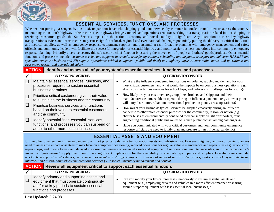

## ESSENTIAL SERVICES, FUNCTIONS, AND PROCESSES

Whether transporting passengers by bus, taxi, or paratransit vehicle; shipping goods and services by commercial trucks around town or across the country; maintaining the nation's highway infrastructure (i.e., highways bridges, tunnels and operations centers); working in a transportation-related job; or shipping or receiving transported goods, the Sub-Sector's impact on the nation's economy and social stability is significant. Any disruption to these key highway transportation services and infrastructure may cause significant local, regional and even national challenges potentially putting the delivery of critical food, fuel, and medical supplies, as well as emergency response equipment, supplies, and personnel at risk. Proactive planning with emergency management and safety officials and community leaders will facilitate the successful integration of essential highway and motor carrier business operations into community emergency response planning. Primarily a service sector, this sub-sector's chief function is assuring the movement of people and others' goods/products. Other essential functions and processes include: *customer service and support; intermodal transfer operations; scheduling and dispatch; transport and delivery; HAZMAT and specialty transport; business and HR support operations; critical equipment (mobile and fixed) and highway infrastructure maintenance and operations; and passenger, worker and operational safety.*

#### **ACTION Identify and assess all of your system's essential services, functions, and processes.**

| SUPPORTING ACTIONS                                                                                                                 | QUESTIONS TO CONSIDER                                                                                                                                                                                                                                                            |
|------------------------------------------------------------------------------------------------------------------------------------|----------------------------------------------------------------------------------------------------------------------------------------------------------------------------------------------------------------------------------------------------------------------------------|
| Maintain all essential services, functions, and<br>processes required to sustain essential<br>business operations.                 | What are the influenza pandemic implications on volume, supply, and demand for your<br>most critical customers, and what would the impacts be on your business operations (e.g.,<br>effects on charter bus services for school trips, and delivery of food/supplies to resorts)? |
| Prioritize critical customers given their value<br>to sustaining the business and the community.                                   | How likely are your customers (e.g., suppliers, brokers, and shippers) and their<br>manufacturer customers able to operate during an influenza pandemic (e.g., at what point<br>will a toy distributor, reliant on international production plants, cease operations)?           |
| Prioritize business services and functions<br>based on their value to essential customers<br>and the community.                    | How might your business' typical services be adapted creatively during an influenza<br>pandemic to other more essential purposes for the community, region, or nation (e.g.,<br>charter buses as environmentally controlled medical supply freight transporters, taxis           |
| Identify potential "non-essential" services,<br>functions, and processes you can suspend or<br>adapt to other more essential uses. | augmenting traditional public bus routes to reduce public contact among passengers)?<br>Have you communicated with your critical customers and your community emergency<br>response officials the need to jointly plan and prepare for an influenza pandemic?                    |

# ESSENTIAL ASSETS AND EQUIPMENT

Unlike other disasters, an influenza pandemic will not physically damage transportation assets and infrastructure. However, highway and motor carrier planners need to assess the impact absenteeism may have on equipment positioning, reduced operations for regular vehicle maintenance and repair sites (e.g., truck stops, repair shops, and towing firms), and delayed in-house maintenance on essential assets and equipment. For operational maintenance sites, an influenza pandemic's impact on "just-in-time" supply chain could have significant implications for the availability of adequate repair parts and supplies. Essential assets include: *trucks; buses; paratransit vehicles; warehouse movement and storage equipment; intermodal material and transfer cranes; customer tracking and electronic interface; and Internet and telecommunications services for dispatch, inventory management and control.*

#### **ACTION** Review all equipment critical to support each essential function.

| SUPPORTING ACTIONS                                                                                                                                                 | QUESTIONS TO CONSIDER                                                                                                                                                                                                                         |
|--------------------------------------------------------------------------------------------------------------------------------------------------------------------|-----------------------------------------------------------------------------------------------------------------------------------------------------------------------------------------------------------------------------------------------|
| I Identify primary and supporting assets and<br>equipment that must operate continuously<br>and/or at key periods to sustain essential<br>functions and processes. | Can you modify your typical processes temporarily to sustain essential assets and<br>equipment (e.g., employing drivers and vehicles in a more efficient manner or sharing<br>ground support equipment with less essential local businesses)? |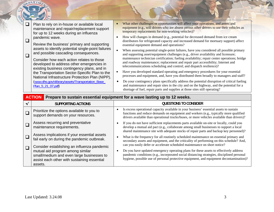|  |  | Plan to rely on in-house or available local<br>maintenance and repair/replacement support<br>for up to 12 weeks during an influenza   |                                                                                                                                                                                 | What other challenges or opportunities will affect your operations, and assets and<br>equipment (e.g., will drivers who are absent permit other drivers to use their vehicles as<br>temporary replacements for non-working vehicles)?                                  |
|--|--|---------------------------------------------------------------------------------------------------------------------------------------|---------------------------------------------------------------------------------------------------------------------------------------------------------------------------------|------------------------------------------------------------------------------------------------------------------------------------------------------------------------------------------------------------------------------------------------------------------------|
|  |  | pandemic wave.<br>Review the business' primary and supporting                                                                         |                                                                                                                                                                                 | How will changes in demand (e.g., potential for decreased demand from ice cream<br>distributors for refrigerated capacity and increased demand for mortuary support) affect<br>essential equipment demand and operations?                                              |
|  |  | assets to identify potential single-point failures<br>and possible cascading consequences.                                            | When assessing potential single-point failures, have you considered all possible primary<br>and supporting asset/equipment challenges (e.g., driver availability and licensure; |                                                                                                                                                                                                                                                                        |
|  |  | Consider how each action relates to those<br>developed to address other emergencies in<br>existing business contingency plans, and in |                                                                                                                                                                                 | maintenance technician certification; fueling availability; repair center operations; bridge<br>and roadway maintenance; replacement and repair part accessibility; Internet and<br>telecommunications scheduling and control; and dispatch resilience)?               |
|  |  | the Transportation Sector-Specific Plan to the<br>National Infrastructure Protection Plan (NIPP).                                     |                                                                                                                                                                                 | Have you developed standard operating and emergency procedures for your essential<br>processes and equipment, and, have you distributed them broadly to managers and staff?                                                                                            |
|  |  | (www.dhs.gov/xlibrary/assets/Transportation_Base_<br>Plan 5 21 07.pdf)                                                                |                                                                                                                                                                                 | Do your contingency plans specifically address the potential disruption of critical fueling<br>and maintenance and repair sites in the city and on the highway, and the potential for a<br>shortage of fuel, repair parts and supplies at those sites still operating? |

| <b>ACTION</b>                                                                                                                                                                          | Prepare to sustain essential equipment for a wave lasting up to 12 weeks.                                                                                                                                                                                                      |
|----------------------------------------------------------------------------------------------------------------------------------------------------------------------------------------|--------------------------------------------------------------------------------------------------------------------------------------------------------------------------------------------------------------------------------------------------------------------------------|
| <b>SUPPORTING ACTIONS</b>                                                                                                                                                              | <b>QUESTIONS TO CONSIDER</b>                                                                                                                                                                                                                                                   |
| Prioritize the options available to you to<br>support demands on your resources.                                                                                                       | Is excess operational capacity available in your business' essential assets to sustain<br>functions and reduce demands on equipment and workers (e.g., typically more qualified<br>drivers available than operational trucks/buses, or more vehicles available than drivers)?  |
| Assess recurring and preventative<br>maintenance requirements.                                                                                                                         | If you do not have sufficient replacements parts available on-site or locally, could you<br>develop a mutual aid pact (e.g., collaborate among small businesses to support a local<br>shared maintenance site with adequate stocks of repair parts and backup key personnel)?  |
| Assess implications if your essential assets<br>fail early on during the pandemic outbreak.                                                                                            | What is the frequency for all routinely scheduled maintenance on essential primary and<br>secondary assets and equipment, and the criticality of performing on this schedule? And,<br>can you easily defer or accelerate scheduled maintenance on short notice?                |
| Consider establishing an influenza pandemic<br>mutual aid program among similar<br>small/medium and even large businesses to<br>assist each other with sustaining essential<br>assets. | Do you have updated emergency operating plans for these assets to effectively address<br>pandemic conditions (e.g., incorporated social distancing strategies, disciplined personal<br>hygiene, possible use of personal protective equipment, and equipment decontamination)? |

DEPARTME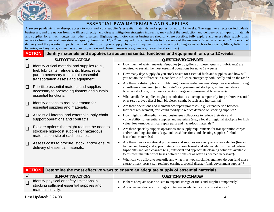

## ESSENTIAL RAW MATERIALS AND SUPPLIES

A severe pandemic may disrupt access to your and your supplier's essential materials and supplies for up to 12 weeks. The negative effects on individuals, businesses, and the nation from the illness directly, and disease mitigation strategies indirectly, may affect the production and delivery of all types of materials and supplies for a much longer than other disasters. Highway and motor carrier businesses should, where possible, fully explore and assess their supply chain networks from their in-house storage capacity through all 1<sup>st</sup>, 2<sup>nd</sup>, and beyond distributor levels to the source of the materials. Given a reliance on "just-in-time" delivery and the potential impacts that could shut down your supply chain, you may want to consider stockpiling items such as lubricants, filters, belts, tires, batteries, and key parts, as well as worker protection and cleaning material (e.g., masks, gloves, hand sanitizer).

|              | <b>ACTION</b>                                                                                                                     | Identify materials and supplies to sustain essential functions and equipment for up to 12 weeks.                                                                                                                                                                                                                                                                                           |
|--------------|-----------------------------------------------------------------------------------------------------------------------------------|--------------------------------------------------------------------------------------------------------------------------------------------------------------------------------------------------------------------------------------------------------------------------------------------------------------------------------------------------------------------------------------------|
| $\checkmark$ | SUPPORTING ACTIONS                                                                                                                | QUESTIONS TO CONSIDER                                                                                                                                                                                                                                                                                                                                                                      |
| $\Box$       | Identify critical material and supplies (e.g.,<br>fuel, lubricants, refrigerants, filters, repair                                 | How much of which materials/supplies (e.g., gallons of diesel, quarts of lubricants) are<br>$\bullet$<br>required to sustain the most essential operations for up to 12 weeks?                                                                                                                                                                                                             |
|              | parts,) necessary to maintain essential<br>transportation assets and equipment.                                                   | How many days supply do you stock onsite for essential fuels and supplies, and how will<br>$\bullet$<br>you obtain the difference in a pandemic influenza emergency both locally and on the road?                                                                                                                                                                                          |
| $\Box$       | Prioritize essential material and supplies<br>necessary to operate equipment and sustain                                          | Are there realistic options for obtaining these essential materials/supplies elsewhere during<br>$\bullet$<br>an influenza pandemic (e.g., fed/state/local government stockpile, mutual assistance<br>business stockpile, or excess capacity in large or non-essential businesses)?                                                                                                        |
|              | essential functions.<br>Identify options to reduce demand for                                                                     | What available supplies might you substitute as backups temporarily for preferred essential<br>ones (e.g., a dyed diesel fuel, biodiesel, synthetic fuels and lubricants)?                                                                                                                                                                                                                 |
| $\Box$       | essential supplies and materials.                                                                                                 | Are there operations and maintenance/repair processes (e.g., extend period between<br>lubricant replacement) you could modify to reduce demand on stocking supplies?                                                                                                                                                                                                                       |
| $\Box$       | Assess all internal and external supply-chain<br>support operations and contracts.                                                | How might small/medium-sized businesses collaborate to reduce their risk and<br>$\bullet$<br>vulnerability for essential supplies and materials (e.g., a local or regional stockpile for high<br>value, low turnover critical repair parts and hazardous materials)?                                                                                                                       |
| $\Box$       | Explore options that might reduce the need to<br>stockpile high-cost supplies or hazardous<br>materials on-site at each business. | Are there specialty support operations and supply requirements for transportation cargos<br>$\bullet$<br>and/or handling situations (e.g., tank wash locations and cleaning supplies for bulk<br>hazardous materials)?                                                                                                                                                                     |
| $\Box$       | Assess costs to procure, stock, and/or ensure<br>delivery of essential materials.                                                 | Are there new or additional procedures and supplies necessary to ensure vehicles (trucks,<br>$\bullet$<br>trailers and buses) and appropriate cargos are cleaned and adequately disinfected between<br>trips/shifts and load changes (e.g., sufficient and appropriate cleaning solutions available<br>to disinfect the interior of buses between shifts or as often as deemed necessary)? |
|              |                                                                                                                                   | What can you afford to stockpile and what must you stockpile, and how do you fund these<br>$\bullet$<br>extraordinary costs (e.g., retained earnings, special disaster fund, government support)?                                                                                                                                                                                          |

|                                                                                                                  | <b>ACTION</b> Determine the most effective ways to ensure an adequate supply of essential materials.                                                                   |  |  |
|------------------------------------------------------------------------------------------------------------------|------------------------------------------------------------------------------------------------------------------------------------------------------------------------|--|--|
| <b>SUPPORTING ACTIONS</b>                                                                                        | <b>QUESTIONS TO CONSIDER</b>                                                                                                                                           |  |  |
| Identify physical or safety limitations in<br>  stocking sufficient essential supplies and<br>materials locally. | • Is there adequate space on-site to expand storage of fuels and supplies temporarily?<br>Are open warehouses or storage containers available locally on short notice? |  |  |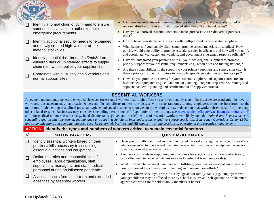

 $\Box$ Coordinate with all supply-chain vendors and normal support sites.

- Can these essential materials and supplies be safely, legally, and practically stored at regional distribution centers or at dispersed sites along likely travel routes?
- Have you authorized essential workers to make purchases via credit card or purchase
- Do you have pre-established contracts with multiple vendors of essential supplies?
- What happens if your supply chain cannot provide critical materials or supplies? How quickly would your ability to provide essential service be affected, and how will you notify and coordinate with customers, vendors, and government emergency response officials?
- Have you integrated your planning with all your local/regional suppliers to promote priority support for your essential requirements (e.g., repair sites and fueling stations)?
- Are there vulnerabilities in the support to your primary suppliers and supply sites (e.g., is there a priority for fuel distributors to re-supply specific gas stations and truck stops)?
- How can you provide incentives for your essential suppliers and support contractors to become better prepared (e.g., collaborate on planning, integrate preparedness training, and stipulate pandemic planning and certification in all supply contracts)?

# ESSENTIAL WORKERS

A severe pandemic may generate extended absences for essential workers that might affect you and your supply chain. During a severe pandemic, the level of workforce absenteeism may approach 40 percent. To complicate matters, the disease will strike randomly among employees from the boardroom to the mailroom. Implementing disciplined personal hygiene and social distancing strategies in the workplace may reduce potential worker absenteeism for illness and other related reasons. Businesses may consider stockpiling certain medical (e.g., antiviral medications, see [www.pandemicflu.gov/vaccine/medantivirals.html](http://www.pandemicflu.gov/vaccine/medantivirals.html)) and non-medical countermeasures (e.g., hand disinfectants, gloves and masks). A list of essential workers will likely include: *trained and licensed drivers; scheduling and dispatch personnel; maintenance and repair technicians; intermodal transfer and warehouse specialists; Emergency Operations Center (EOC) and communications and computer support; security personnel; business and HR support; training specialists; operational and executive management.* 

#### **ACTION Identify the types and numbers of workers critical to sustain essential functions. √ SUPPORTING ACTIONS QUESTIONS TO CONSIDER**   $\Box$  $\Box$  $\Box$ Identify essential workers based on their position/skills necessary to sustaining essential functions and equipment. Define the roles and responsibilities of employees, labor organizations, staff, supervisors, managers, and staff medical personnel during an influenza pandemic. Assess impacts from short-term and extended absences by essential workers. • Have you formally identified and communicated the worker categories and specific workers who are essential to operate and maintain the essential functions and equipment necessary to sustain your most essential services? • Are there constraints in employing union workers for specific local worker contracts (e.g., can skilled maintenance technicians serve as long-haul drivers temporarily)? • What different challenges do you face with full-time, part-time, or seasonal employees, and how will you address these in your planning and preparedness efforts? • Are there differences in your workforce by age and/or family status (e.g., employees with younger children may be affected more by school closures and self-quarantine or "boomer" age workers who care for elder family members at home)?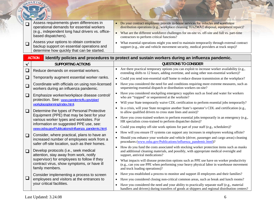| $\Box$           | Assess requirements given differences in<br>operational demands for essential workers<br>(e.g., independent long haul drivers vs. office-<br>based dispatchers).<br>Assess your options to obtain contractor<br>backup support on essential operations and<br>determine how quickly that can be started. | Do your contract employees provide in-house services for vehicles and warehouse<br>distribution operations (e.g., workplace cleaning, HAZMAT disposal, equipment repair)?<br>• What are the different workforce challenges for on-site vs. off-site and full vs. part-time<br>contractors to perform critical functions?<br>What essential operations might you need to maintain temporarily through external contract<br>support (e.g., site and vehicle movement security, medical providers at truck stops)? |
|------------------|----------------------------------------------------------------------------------------------------------------------------------------------------------------------------------------------------------------------------------------------------------------------------------------------------------|-----------------------------------------------------------------------------------------------------------------------------------------------------------------------------------------------------------------------------------------------------------------------------------------------------------------------------------------------------------------------------------------------------------------------------------------------------------------------------------------------------------------|
|                  | <b>ACTION</b>                                                                                                                                                                                                                                                                                            | Identify policies and procedures to protect and sustain workers during an influenza pandemic.                                                                                                                                                                                                                                                                                                                                                                                                                   |
|                  | <b>SUPPORTING ACTIONS</b>                                                                                                                                                                                                                                                                                | <b>QUESTIONS TO CONSIDER</b>                                                                                                                                                                                                                                                                                                                                                                                                                                                                                    |
| $\Box$<br>$\Box$ | Reduce demands on essential workers.<br>Temporarily augment essential worker ranks.                                                                                                                                                                                                                      | Are there practical temporary options you can exploit to increase worker availability (e.g.,<br>$\bullet$<br>extending shifts to 12 hours, adding overtime, and using other non-essential workers)?                                                                                                                                                                                                                                                                                                             |
| $\Box$           | Coordinate with officials on using non-licensed<br>workers during an influenza pandemic.                                                                                                                                                                                                                 | Could you send non-essential staff home to reduce disease transmission at the workplace?<br>$\bullet$<br>Have you considered the need for and conditions requiring more extreme measures, such as<br>sequestering essential dispatch or distribution workers on-site?                                                                                                                                                                                                                                           |
| $\Box$           | Emphasize worker/workplace disease control/<br>protection. See: www.pandemicflu.gov/plan/<br>workplaceplanning/index.html.                                                                                                                                                                               | Have you considered stockpiling emergency supplies such as food and water for workers<br>who are "trapped" or sequestered at the worksite?<br>Will your State temporarily waive CDL certification to perform essential jobs temporarily?<br>٠                                                                                                                                                                                                                                                                   |
| ❏                | Determine the types of Personal Protective<br>Equipment (PPE) that may be best for your<br>various worker types and worksites. For<br>information on suggested PPE use, see:<br>www.osha.gov/Publications/influenza_pandemic.html.                                                                       | In a crisis, will your State recognize another State's operator's CDL and certification (e.g.,<br>$\bullet$<br>to allow qualified drivers to cross state lines and assist)?<br>Have you cross-trained workers to perform essential jobs temporarily in an emergency (e.g.,<br>HR specialists cross-trained to perform dispatcher duties)?<br>Could you employ off-site work options for part of your staff (e.g., schedulers)?<br>$\bullet$                                                                     |
| ❏                | Consider, where practical, plans to have an<br>increased number of employees work from a<br>safer off-site location, such as their homes.                                                                                                                                                                | How will you ensure IT systems can support any increases in employees working offsite?<br>$\bullet$<br>Should you enhance your worksite and vehicle (driver, passenger and cargo areas) cleaning<br>procedures (www.osha.gov/Publications/influenza_pandemic.html)?                                                                                                                                                                                                                                             |
| ❏                | Develop protocols (i.e., seek medical<br>attention, stay away from work, notify<br>supervisor) for employees to follow if they<br>contract virus, show symptoms, or have ill<br>family members.                                                                                                          | How do you fund the costs associated with stocking worker protection items such as masks<br>and additional cleaning materials, and possibly, with appropriate medical oversight and<br>support, antiviral medications?<br>What impacts will disease protection options such as PPE use have on worker productivity<br>(e.g., can you use PPE when performing your heavy physical labor in warehouse movement<br>and truck loading operations)?                                                                  |
| ⊔                | Consider implementing a process to screen<br>employees and visitors at the entrances to<br>your critical facilities.                                                                                                                                                                                     | Have you established a process to monitor and support ill employees and their families?<br>$\bullet$<br>Have you considered closing non-critical common areas, such as break and lunch rooms?<br>$\bullet$<br>Have you considered the need and your ability to practically separate staff (e.g., material<br>$\bullet$<br>handlers and drivers) during transfers of goods at shippers and regional distribution centers?                                                                                        |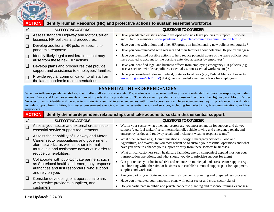

|              | <b>ACTION</b>                                                                               | Identify Human Resource (HR) and protective actions to sustain essential workforce.                                                                                                             |  |  |  |
|--------------|---------------------------------------------------------------------------------------------|-------------------------------------------------------------------------------------------------------------------------------------------------------------------------------------------------|--|--|--|
| $\checkmark$ | <b>SUPPORTING ACTIONS</b>                                                                   | <b>QUESTIONS TO CONSIDER</b>                                                                                                                                                                    |  |  |  |
|              | Assess standard Highway and Motor Carrier<br>business HR policies and procedures.           | Have you adapted existing and/or developed new sick leave policies to support ill workers<br>and ill family members (www.pandemicflu.gov/plan/community/commitigation.html)?                    |  |  |  |
|              | Develop additional HR policies specific to<br>pandemic response.                            | Have you met with unions and other HR groups on implementing new policies temporarily?<br>$\bullet$<br>Have you communicated with workers and their families about potential HR policy changes? |  |  |  |
| $\Box$       | Identify likely legal considerations that may<br>arise from these new HR actions.           | Have you identified possible actions to help reduce potential abuse of the leave policies you<br>have adapted to account for the possible extended absences by employees?                       |  |  |  |
| $\sqcup$     | Develop plans and procedures that provide<br>support and assistance to employees' families. | Have you identified legal and business effects from employing emergency HR policies (e.g.,<br>costs associated with leave policies, essential vs. non-essential worker status)?                 |  |  |  |
|              | Provide regular communication to all staff on<br>the latest pandemic recommendations.       | Have you considered relevant Federal, State, or local laws (e.g., Federal Medical Leave Act,<br>www.dol.gov/esa/whd/fmla/) that govern extended emergency leave for employees?                  |  |  |  |
|              |                                                                                             |                                                                                                                                                                                                 |  |  |  |

# ESSENTIAL INTERDEPENDENCIES

When an influenza pandemic strikes, it will affect all sectors of society. Preparedness and response will require a coordinated nation-wide response, including Federal, State, and local governments and most importantly the private sector. To enable a swift pandemic response and recovery, the Highway and Motor Carrier Sub-Sector must identify and be able to sustain its essential interdependencies within and across sectors. Interdependencies requiring advanced coordination include support from utilities, businesses, government agencies, as well as essential goods and services, including fuel, electricity, telecommunications, and first responders.

|          | <b>ACTION</b><br>Identify the interdependent relationships and take actions to sustain this essential support.                                                                          |  |                                                                                                                                                                                                                                                                         |  |
|----------|-----------------------------------------------------------------------------------------------------------------------------------------------------------------------------------------|--|-------------------------------------------------------------------------------------------------------------------------------------------------------------------------------------------------------------------------------------------------------------------------|--|
|          | <b>SUPPORTING ACTIONS</b>                                                                                                                                                               |  | <b>QUESTIONS TO CONSIDER</b>                                                                                                                                                                                                                                            |  |
|          | Assess your sector and external cross-sector<br>essential service support requirements.                                                                                                 |  | Within your sector, what other sub-sectors are you most reliant on for support and do you<br>support (e.g., fuel tanker fleets, intermodal rail, vehicle towing and emergency repair, and<br>emergency bridge and roadway repair and inclement weather response teams)? |  |
|          | Assess the capability of Highway and Motor<br>Carrier sector associations and government<br>alert networks, as well as other informal<br>mutual aid and assistance networks in order to |  | What other sectors (e.g., Communications, Energy, Emergency Services, Food and<br>Agriculture, and Water) are you most reliant on to sustain your essential operations and what<br>have you done to enhance your support priority from these sectors' businesses?       |  |
|          | reduce vulnerabilities.                                                                                                                                                                 |  | What critical customers (e.g., healthcare facilities, energy companies) depend most on your<br>transportation operations, and what should you do to prioritize support for them?                                                                                        |  |
|          | Collaborate with public/private partners, such<br>as State/local health and emergency response<br>authorities and first responders, who support<br>and rely on you.                     |  | Can you reduce your business' risk and reliance on municipal and cross-sector support (e.g.,<br>collaborating with other similar businesses to establish a mutual support pact for equipment,<br>supplies and workers)?                                                 |  |
| $\sqcup$ | Consider developing joint operational plans                                                                                                                                             |  | Are you part of your State and community's pandemic planning and preparedness process?                                                                                                                                                                                  |  |
|          | with service providers, suppliers, and<br>customers.                                                                                                                                    |  | Have you integrated your pandemic plans with other sector and cross-sector plans?<br>Do you participate in public and private pandemic planning and response training exercises?                                                                                        |  |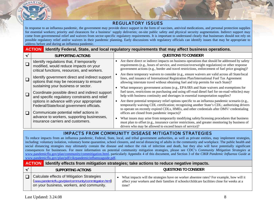

#### REGULATORY ISSUES

In response to an influenza pandemic, the government may provide direct support in the form of vaccines, antiviral medications, and personal protection supplies for essential workers; priority and clearances for a business' supply deliveries; on-site public safety and physical security augmentation. Indirect support may come from governmental relief and waivers from sector-specific regulatory requirements. It is important to understand clearly that businesses should not rely on possible regulatory relief and/or waivers in their pandemic planning. Early discussions with regulatory officials can identify issues that may be appropriate to address before and during an influenza pandemic.

|   | <b>ACTION</b>                                                                                                                            | Identify Federal, State, and local regulatory requirements that may affect business operations.                                                                                                                                                                                                                                          |
|---|------------------------------------------------------------------------------------------------------------------------------------------|------------------------------------------------------------------------------------------------------------------------------------------------------------------------------------------------------------------------------------------------------------------------------------------------------------------------------------------|
| ✔ | SUPPORTING ACTIONS                                                                                                                       | QUESTIONS TO CONSIDER                                                                                                                                                                                                                                                                                                                    |
|   | Identify regulations that, if temporarily<br>modified, would reduce impacts on your<br>critical functions, resources, and workers.       | Are there direct or indirect impacts on business operations that should be addressed by safety<br>requirements (e.g., hours of service, and oversize/overweight regulations) or other response<br>government actions (e.g., border and travel restrictions, enforcement of fuel price gouging)?                                          |
|   | Identify government direct and indirect support<br>options that may be necessary to ensure                                               | Are there temporary waivers to consider (e.g., ensure waivers are valid across all State/local<br>lines, and issuance of International Registration Plan/International Fuel Tax Agreement<br>allowing interstate travel without obtaining fuel and trip permits for each State)?                                                         |
|   | sustaining your business or sector.<br>Coordinate possible direct and indirect support<br>and specific regulatory constraints and relief | What temporary government actions (e.g., EPA/IRS and State waivers and exemptions for<br>fuel taxes, restrictions on purchasing and using off-road diesel fuel for on-road vehicles) may<br>help with business continuity and shortages in essential transportation supplies?                                                            |
|   | options in advance with your appropriate<br>Federal/State/local government officials.<br>Communicate potential relief actions in         | Are there potential temporary relief options specific to an influenza pandemic scenario (e.g.,<br>temporarily waiving CDL certification; recognizing another State's CDL; authorizing drivers<br>to operate on recently expired CDLs, HMEs, and other credentials after DMV/ credentialing<br>offices are closed from pandemic impacts)? |
|   | advance to workers, supporting businesses,<br>insurance carriers and customers.                                                          | What issues may arise from temporarily modifying safety/licensing procedures that business<br>must plan to offset (e.g., insurance carrier restrictions, and greater monitoring by business of<br>drivers who may be allowed to exceed hours of service)?                                                                                |

# IMPACTS FROM COMMUNITY DISEASE MITIGATION STRATEGIES

To reduce impacts from an influenza pandemic, Federal, State, local, and tribal government authorities, as well as private entities, may implement strategies, including: voluntary isolation, voluntary home quarantine, school closures, and social distancing of adults in the community and workplace. The public health and social distancing strategies may ultimately contain the disease and reduce the risk of infection and death, but they also will have potentially significant consequences for businesses. For more information on potential community mitigation strategies, please see CDC's *Community Mitigation Strategies* at www.pan[demicflu.gov/plan/community/commitigation.html](http://www.pandemicflu.gov/plan/community/commitigation.html), particularly Appendix 4 of this document, and Section 3 of the *CIKR Pandemic Influenza Guide* at www.pan[demicflu.gov/plan/pdf/cikrpandemicinfluenzaguide.pdf](http://www.pandemicflu.gov/plan/pdf/cikrpandemicinfluenzaguide.pdf).

#### **ACTIONIdentify effects from mitigation strategies; take actions to reduce negative impacts.**

| SUPPORTING ACTIONS                                                                                                                                 | QUESTIONS TO CONSIDER                                                                                                                                                                            |
|----------------------------------------------------------------------------------------------------------------------------------------------------|--------------------------------------------------------------------------------------------------------------------------------------------------------------------------------------------------|
| Calculate effects of Mitigation Strategies<br>(www.pandemicflu.gov/plan/community/commitigation.html)<br>on your business, workers, and community. | What impacts will the strategies have on worker absentee rates? For example, how will it<br>affect your workers and their families if schools/childcare facilities close for weeks at a<br>time? |